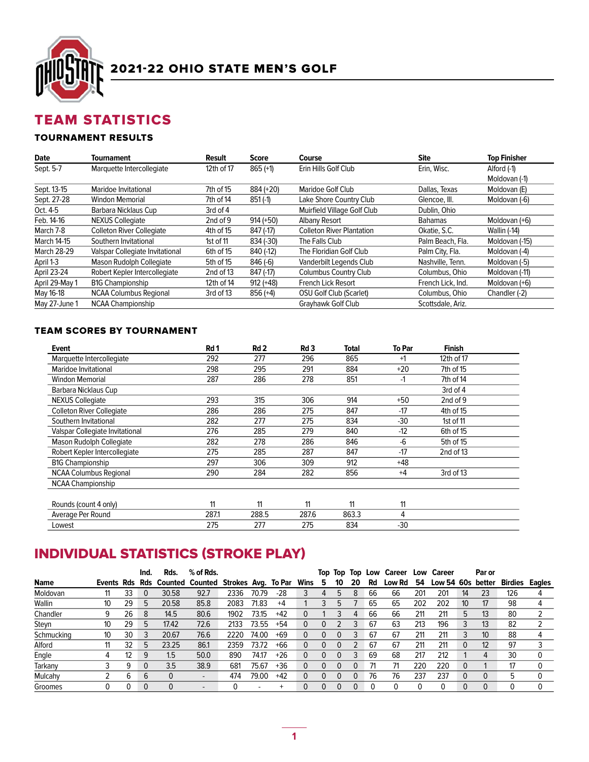

# TEAM STATISTICS

## TOURNAMENT RESULTS

| <b>Date</b>        | Tournament                       | Result     | <b>Score</b> | Course                           | <b>Site</b>       | <b>Top Finisher</b> |
|--------------------|----------------------------------|------------|--------------|----------------------------------|-------------------|---------------------|
| Sept. 5-7          | Marquette Intercollegiate        | 12th of 17 | $865 (+1)$   | Erin Hills Golf Club             | Erin. Wisc.       | Alford (-1)         |
|                    |                                  |            |              |                                  |                   | Moldovan (-1)       |
| Sept. 13-15        | Maridoe Invitational             | 7th of 15  | 884 (+20)    | Maridoe Golf Club                | Dallas, Texas     | Moldovan (E)        |
| Sept. 27-28        | <b>Windon Memorial</b>           | 7th of 14  | $851(-1)$    | Lake Shore Country Club          | Glencoe, III.     | Moldovan (-6)       |
| Oct. 4-5           | Barbara Nicklaus Cup             | 3rd of 4   |              | Muirfield Village Golf Club      | Dublin, Ohio      |                     |
| Feb. 14-16         | <b>NEXUS Collegiate</b>          | 2nd of 9   | $914 (+50)$  | <b>Albany Resort</b>             | <b>Bahamas</b>    | Moldovan (+6)       |
| March 7-8          | <b>Colleton River Collegiate</b> | 4th of 15  | 847 (-17)    | <b>Colleton River Plantation</b> | Okatie, S.C.      | <b>Wallin (-14)</b> |
| <b>March 14-15</b> | Southern Invitational            | 1st of 11  | 834 (-30)    | The Falls Club                   | Palm Beach, Fla.  | Moldovan (-15)      |
| <b>March 28-29</b> | Valspar Collegiate Invitational  | 6th of 15  | 840 (-12)    | The Floridian Golf Club          | Palm City, Fla.   | Moldovan (-4)       |
| April 1-3          | Mason Rudolph Collegiate         | 5th of 15  | $846(-6)$    | Vanderbilt Legends Club          | Nashville, Tenn.  | Moldovan (-5)       |
| April 23-24        | Robert Kepler Intercollegiate    | 2nd of 13  | 847 (-17)    | Columbus Country Club            | Columbus, Ohio    | Moldovan (-11)      |
| April 29-May 1     | <b>B1G Championship</b>          | 12th of 14 | $912 (+48)$  | French Lick Resort               | French Lick, Ind. | Moldovan (+6)       |
| May 16-18          | <b>NCAA Columbus Regional</b>    | 3rd of 13  | $856 (+4)$   | <b>OSU Golf Club (Scarlet)</b>   | Columbus, Ohio    | Chandler (-2)       |
| May 27-June 1      | <b>NCAA Championship</b>         |            |              | Grayhawk Golf Club               | Scottsdale, Ariz. |                     |

## TEAM SCORES BY TOURNAMENT

| Event                            | Rd 1  | Rd <sub>2</sub> | Rd <sub>3</sub> | Total | To Par | <b>Finish</b> |  |
|----------------------------------|-------|-----------------|-----------------|-------|--------|---------------|--|
| Marquette Intercollegiate        | 292   | 277             | 296             | 865   | $+1$   | 12th of 17    |  |
| <b>Maridoe Invitational</b>      | 298   | 295             | 291             | 884   | $+20$  | 7th of 15     |  |
| Windon Memorial                  | 287   | 286             | 278             | 851   | $-1$   | 7th of 14     |  |
| Barbara Nicklaus Cup             |       |                 |                 |       |        | 3rd of 4      |  |
| <b>NEXUS Collegiate</b>          | 293   | 315             | 306             | 914   | $+50$  | 2nd of 9      |  |
| <b>Colleton River Collegiate</b> | 286   | 286             | 275             | 847   | $-17$  | 4th of 15     |  |
| Southern Invitational            | 282   | 277             | 275             | 834   | $-30$  | 1st of 11     |  |
| Valspar Collegiate Invitational  | 276   | 285             | 279             | 840   | $-12$  | 6th of 15     |  |
| Mason Rudolph Collegiate         | 282   | 278             | 286             | 846   | $-6$   | 5th of 15     |  |
| Robert Kepler Intercollegiate    | 275   | 285             | 287             | 847   | $-17$  | 2nd of 13     |  |
| <b>B1G Championship</b>          | 297   | 306             | 309             | 912   | $+48$  |               |  |
| <b>NCAA Columbus Regional</b>    | 290   | 284             | 282             | 856   | $+4$   | 3rd of 13     |  |
| <b>NCAA Championship</b>         |       |                 |                 |       |        |               |  |
| Rounds (count 4 only)            | 11    | 11              | 11              | 11    | 11     |               |  |
| Average Per Round                | 287.1 | 288.5           | 287.6           | 863.3 | 4      |               |  |
| Lowest                           | 275   | 277             | 275             | 834   | -30    |               |  |

# **INDIVIDUAL STATISTICS (STROKE PLAY)**

|             |    |    | Ind.        | Rds.     | % of Rds.                                                 |      |                          |       |   |          |    |    |    | Top Top Top Low Career |     | <b>Low Career</b> |                  | Par or |                |  |
|-------------|----|----|-------------|----------|-----------------------------------------------------------|------|--------------------------|-------|---|----------|----|----|----|------------------------|-----|-------------------|------------------|--------|----------------|--|
| <b>Name</b> |    |    |             |          | Events Rds Rds Counted Counted Strokes Avg. To Par Wins 5 |      |                          |       |   |          | 10 | 20 | Rd | Low Rd                 | 54  | Low 54 60s better |                  |        | Birdies Eagles |  |
| Moldovan    |    | 33 | 0           | 30.58    | 92.7                                                      | 2336 | 70.79                    | $-28$ | 3 | 4        | ხ  | 8  | 66 | 66                     | 201 | 201               | 14               | 23     | 126            |  |
| Wallin      | 10 | 29 | 5           | 20.58    | 85.8                                                      | 2083 | 71.83                    | $+4$  |   |          | ხ  |    | 65 | 65                     | 202 | 202               | 10 <sup>10</sup> | 17     | 98             |  |
| Chandler    | 9  | 26 | 8           | 14.5     | 80.6                                                      | 1902 | 73.15                    | $+42$ |   |          |    | 4  | 66 | 66                     | 211 | 211               | 5                | 13     | 80             |  |
| Steyn       | 10 | 29 | 5           | 17.42    | 72.6                                                      | 2133 | 73.55                    | $+54$ | 0 | $\Omega$ |    |    | 67 | 63                     | 213 | 196               | 3                | 13     | 82             |  |
| Schmucking  | 10 | 30 | 3           | 20.67    | 76.6                                                      | 2220 | 74.00                    | +69   | 0 | $\Omega$ |    |    | 67 | 67                     | 211 | 211               | 3                | 10     | 88             |  |
| Alford      | 11 | 32 | 5           | 23.25    | 86.1                                                      | 2359 | 73.72                    | $+66$ |   |          |    |    | 67 | 67                     | 211 | 211               | $\mathbf{0}$     | 12     | 97             |  |
| Engle       |    | 12 | 9           | 1.5      | 50.0                                                      | 890  | 74.17                    | $+26$ |   | $\Omega$ | 0  |    | 69 | 68                     | 217 | 212               |                  | 4      | 30             |  |
| Tarkany     |    | 9  | 0           | 3.5      | 38.9                                                      | 681  | 75.67                    | $+36$ | 0 |          | 0  |    |    | 71                     | 220 | 220               | $\mathbf{0}$     |        | 17             |  |
| Mulcahy     |    | 6  | 6           | $\Omega$ | $\overline{\phantom{a}}$                                  | 474  | 79.00                    | $+42$ | 0 | $\Omega$ |    | 0  | 76 | 76                     | 237 | 237               | 0                |        |                |  |
| Groomes     |    | 0  | $\mathbf 0$ | $\Omega$ | $\overline{\phantom{a}}$                                  | 0    | $\overline{\phantom{a}}$ | $^+$  |   | $\Omega$ |    |    |    |                        |     |                   | $\mathbf{0}$     |        |                |  |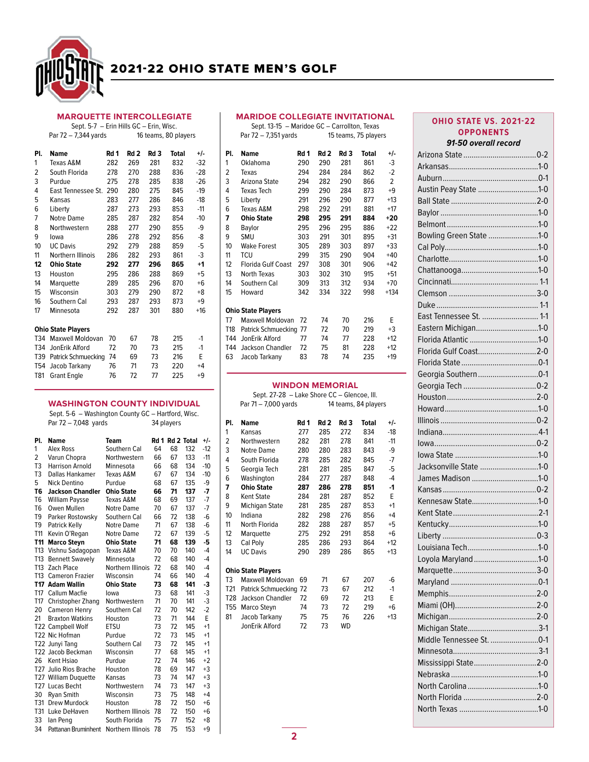

### MARQUETTE INTERCOLLEGIATE

Sept. 5-7 – Erin Hills GC – Erin, Wisc. Par 72 – 7,344 yards 16 teams, 80 players

| PI.             | Name                      | Rd 1 | Rd 2 | Rd 3 | Total | +/-   |  |  |  |  |  |
|-----------------|---------------------------|------|------|------|-------|-------|--|--|--|--|--|
| 1               | Texas A&M                 | 282  | 269  | 281  | 832   | $-32$ |  |  |  |  |  |
| 2               | South Florida             | 278  | 270  | 288  | 836   | $-28$ |  |  |  |  |  |
| 3               | Purdue                    | 275  | 278  | 285  | 838   | $-26$ |  |  |  |  |  |
| 4               | East Tennessee St.        | 290  | 280  | 275  | 845   | $-19$ |  |  |  |  |  |
| 5               | Kansas                    | 283  | 277  | 286  | 846   | $-18$ |  |  |  |  |  |
| 6               | Liberty                   | 287  | 273  | 293  | 853   | $-11$ |  |  |  |  |  |
| 7               | Notre Dame                | 285  | 287  | 282  | 854   | $-10$ |  |  |  |  |  |
| 8               | Northwestern              | 288  | 277  | 290  | 855   | -9    |  |  |  |  |  |
| 9               | lowa                      | 286  | 278  | 292  | 856   | -8    |  |  |  |  |  |
| 10              | <b>UC Davis</b>           | 292  | 279  | 288  | 859   | $-5$  |  |  |  |  |  |
| 11              | Northern Illinois         | 286  | 282  | 293  | 861   | $-3$  |  |  |  |  |  |
| 12              | <b>Ohio State</b>         | 292  | 277  | 296  | 865   | $+1$  |  |  |  |  |  |
| 13              | Houston                   | 295  | 286  | 288  | 869   | $+5$  |  |  |  |  |  |
| 14              | Marquette                 | 289  | 285  | 296  | 870   | $+6$  |  |  |  |  |  |
| 15              | Wisconsin                 | 303  | 279  | 290  | 872   | $+8$  |  |  |  |  |  |
| 16              | Southern Cal              | 293  | 287  | 293  | 873   | $+9$  |  |  |  |  |  |
| 17              | Minnesota                 | 292  | 287  | 301  | 880   | $+16$ |  |  |  |  |  |
|                 | <b>Ohio State Players</b> |      |      |      |       |       |  |  |  |  |  |
|                 | T34 Maxwell Moldovan      | 70   | 67   | 78   | 215   | $-1$  |  |  |  |  |  |
| T34             | JonErik Alford            | 72   | 70   | 73   | 215   | $-1$  |  |  |  |  |  |
| T39             | Patrick Schmuecking       | 74   | 69   | 73   | 216   | E     |  |  |  |  |  |
| T <sub>54</sub> | Jacob Tarkany             | 76   | 71   | 73   | 220   | $+4$  |  |  |  |  |  |
| T81             | <b>Grant Engle</b>        | 76   | 72   | 77   | 225   | $+9$  |  |  |  |  |  |

#### WASHINGTON COUNTY INDIVIDUAL Sept. 5-6 – Washington County GC – Hartford, Wisc.

|                | sept. s-o – washington county oc – nantiona, wisc.<br>Par 72 - 7,048 yards |                   | 34 players |                 |     |                      |  |
|----------------|----------------------------------------------------------------------------|-------------------|------------|-----------------|-----|----------------------|--|
| PI.            | <b>Name</b>                                                                | Team              |            | Rd 1 Rd 2 Total |     | +/-                  |  |
| 1              | Alex Ross                                                                  | Southern Cal      | 64         | 68              | 132 | $-12$                |  |
| 2              | Varun Chopra                                                               | Northwestern      | 66         | 67              | 133 | $-11$                |  |
| T <sub>3</sub> | <b>Harrison Arnold</b>                                                     | Minnesota         | 66         | 68              | 134 | $-10$                |  |
| T <sub>3</sub> | Dallas Hankamer                                                            | Texas A&M         | 67         | 67              | 134 | $-10$                |  |
| 5              | Nick Dentino                                                               | Purdue            | 68         | 67              | 135 | -9                   |  |
| T6             | <b>Jackson Chandler</b>                                                    | <b>Ohio State</b> | 66         | 71              | 137 | $\cdot$              |  |
| T <sub>6</sub> | <b>William Paysse</b>                                                      | Texas A&M         | 68         | 69              | 137 | $-7$                 |  |
| T6             | Owen Mullen                                                                | <b>Notre Dame</b> | 70         | 67              | 137 | $-7$                 |  |
| T <sub>9</sub> | Parker Rostowsky                                                           | Southern Cal      | 66         | 72              | 138 | $-6$                 |  |
| T <sub>9</sub> | <b>Patrick Kelly</b>                                                       | Notre Dame        | 71         | 67              | 138 | $-6$                 |  |
| T11            | Kevin O'Regan                                                              | <b>Notre Dame</b> | 72         | 67              | 139 | $-5$                 |  |
| T11            | <b>Marco Steyn</b>                                                         | <b>Ohio State</b> | 71         | 68              | 139 | -5                   |  |
| T13            | Vishnu Sadagopan                                                           | Texas A&M         | 70         | 70              | 140 | $-4$                 |  |
| T13            | <b>Bennett Swavely</b>                                                     | Minnesota         | 72         | 68              | 140 | $-4$                 |  |
| T13            | Zach Place                                                                 | Northern Illinois | 72         | 68              | 140 | $-4$                 |  |
| T13            | <b>Cameron Frazier</b>                                                     | Wisconsin         | 74         | 66              | 140 | $-4$                 |  |
|                | T17 Adam Wallin                                                            | <b>Ohio State</b> | 73         | 68              | 141 | $\cdot$ <sub>3</sub> |  |
| T17            | <b>Callum Macfie</b>                                                       | lowa              | 73         | 68              | 141 | $-3$                 |  |
| T17            | Christopher Zhang                                                          | Northwestern      | 71         | 70              | 141 | $-3$                 |  |
| 20             | Cameron Henry                                                              | Southern Cal      | 72         | 70              | 142 | $-2$                 |  |
| 21             | <b>Braxton Watkins</b>                                                     | Houston           | 73         | 71              | 144 | E                    |  |
|                | T22 Campbell Wolf                                                          | ETSU              | 73         | 72              | 145 | $+1$                 |  |
|                | T22 Nic Hofman                                                             | Purdue            | 72         | 73              | 145 | $+1$                 |  |
|                | T22 Junyi Tang                                                             | Southern Cal      | 73         | 72              | 145 | $+1$                 |  |
|                | T22 Jacob Beckman                                                          | Wisconsin         | 77         | 68              | 145 | $+1$                 |  |
| 26             | Kent Hsiao                                                                 | Purdue            | 72         | 74              | 146 | $+2$                 |  |
|                | T27 Julio Rios Brache                                                      | Houston           | 78         | 69              | 147 | $+3$                 |  |
|                | T27 William Duquette                                                       | Kansas            | 73         | 74              | 147 | $+3$                 |  |
|                | T27 Lucas Becht                                                            | Northwestern      | 74         | 73              | 147 | $+3$                 |  |
| 30             | <b>Ryan Smith</b>                                                          | Wisconsin         | 73         | 75              | 148 | $+4$                 |  |
| T31            | Drew Murdock                                                               | Houston           | 78         | 72              | 150 | $+6$                 |  |
|                | T31 Luke DeHaven                                                           | Northern Illinois | 78         | 72              | 150 | $+6$                 |  |
| 33             | lan Peng                                                                   | South Florida     | 75         | 77              | 152 | $+8$                 |  |
| 34             | Pattanan Bruminhent                                                        | Northern Illinois | 78         | 75              | 153 | $+9$                 |  |

## MARIDOE COLLEGIATE INVITATIONAL

|     | Sept. 13-15 - Maridoe GC - Carrollton, Texas |                      |                 |      |       |                |  |
|-----|----------------------------------------------|----------------------|-----------------|------|-------|----------------|--|
|     | Par 72 - 7,351 yards                         | 15 teams, 75 players |                 |      |       |                |  |
| PI. | <b>Name</b>                                  | Rd 1                 | Rd <sub>2</sub> | Rd 3 | Total | +/-            |  |
| 1   | Oklahoma                                     | 290                  | 290             | 281  | 861   | $-3$           |  |
| 2   | Texas                                        | 294                  | 284             | 284  | 862   | $-2$           |  |
| 3   | Arizona State                                | 294                  | 282             | 290  | 866   | $\overline{2}$ |  |
| 4   | <b>Texas Tech</b>                            | 299                  | 290             | 284  | 873   | $+9$           |  |
| 5   | Liberty                                      | 291                  | 296             | 290  | 877   | $+13$          |  |
| 6   | Texas A&M                                    | 298                  | 292             | 291  | 881   | $+17$          |  |
| 7   | <b>Ohio State</b>                            | 298                  | 295             | 291  | 884   | $+20$          |  |
| 8   | Baylor                                       | 295                  | 296             | 295  | 886   | $+22$          |  |
| 9   | SMU                                          | 303                  | 291             | 301  | 895   | $+31$          |  |
| 10  | <b>Wake Forest</b>                           | 305                  | 289             | 303  | 897   | $+33$          |  |
| 11  | <b>TCU</b>                                   | 299                  | 315             | 290  | 904   | $+40$          |  |
| 12  | Florida Gulf Coast                           | 297                  | 308             | 301  | 906   | $+42$          |  |
| 13  | North Texas                                  | 303                  | 302             | 310  | 915   | $+51$          |  |
| 14  | Southern Cal                                 | 309                  | 313             | 312  | 934   | $+70$          |  |
| 15  | Howard                                       | 342                  | 334             | 322  | 998   | $+134$         |  |
|     | <b>Ohio State Players</b>                    |                      |                 |      |       |                |  |
| T7  | Maxwell Moldovan                             | 72                   | 74              | 70   | 216   | E              |  |
| T18 | Patrick Schmuecking                          | 77                   | 72              | 70   | 219   | $+3$           |  |
| T44 | JonErik Alford                               | 77                   | 74              | 77   | 228   | $+12$          |  |
| T44 | Jackson Chandler                             | 72                   | 75              | 81   | 228   | $+12$          |  |
| 63  | Jacob Tarkany                                | 83                   | 78              | 74   | 235   | $+19$          |  |
|     |                                              |                      |                 |      |       |                |  |

## WINDON MEMORIAL

|                           |      | 14 teams, 84 players                           |      |              |                                             |  |
|---------------------------|------|------------------------------------------------|------|--------------|---------------------------------------------|--|
| Name                      | Rd 1 | Rd <sub>2</sub>                                | Rd 3 | <b>Total</b> | $+/-$                                       |  |
| Kansas                    | 277  | 285                                            | 272  | 834          | $-18$                                       |  |
| Northwestern              | 282  | 281                                            | 278  | 841          | $-11$                                       |  |
| <b>Notre Dame</b>         | 280  | 280                                            | 283  | 843          | -9                                          |  |
| South Florida             | 278  | 285                                            | 282  | 845          | $-7$                                        |  |
| Georgia Tech              | 281  | 281                                            | 285  | 847          | -5                                          |  |
| Washington                | 284  | 277                                            | 287  | 848          | -4                                          |  |
| <b>Ohio State</b>         | 287  | 286                                            | 278  | 851          | -1                                          |  |
| Kent State                | 284  | 281                                            | 287  | 852          | F                                           |  |
| Michigan State            | 281  | 285                                            | 287  | 853          | $+1$                                        |  |
| Indiana                   | 282  | 298                                            | 276  | 856          | $+4$                                        |  |
| North Florida             | 282  | 288                                            | 287  | 857          | $+5$                                        |  |
| Marquette                 | 275  | 292                                            | 291  | 858          | $+6$                                        |  |
| Cal Poly                  | 285  | 286                                            | 293  | 864          | $+12$                                       |  |
| <b>UC Davis</b>           | 290  | 289                                            | 286  | 865          | $+13$                                       |  |
| <b>Ohio State Players</b> |      |                                                |      |              |                                             |  |
| Maxwell Moldovan          | 69   | 71                                             | 67   | 207          | -6                                          |  |
|                           |      | 73                                             | 67   | 212          | $-1$                                        |  |
| <b>Jackson Chandler</b>   | 72   | 69                                             | 72   | 213          | E                                           |  |
| Marco Steyn               | 74   | 73                                             | 72   | 219          | $+6$                                        |  |
| Jacob Tarkany             | 75   | 75                                             | 76   | 226          | $+13$                                       |  |
| JonErik Alford            | 72   | 73                                             | WD   |              |                                             |  |
|                           |      | Par 71 - 7,000 yards<br>Patrick Schmuecking 72 |      |              | Sept. 27-28 - Lake Shore CC - Glencoe, III. |  |

## **OHIO STATE VS. 2021-22 OPPONENTS**

### 91-50 overall record

| Austin Peay State 1-0    |
|--------------------------|
|                          |
|                          |
|                          |
| Bowling Green State 1-0  |
|                          |
|                          |
|                          |
|                          |
|                          |
|                          |
| East Tennessee St.  1-1  |
| Eastern Michigan1-0      |
|                          |
| Florida Gulf Coast2-0    |
|                          |
| Georgia Southern0-1      |
|                          |
|                          |
|                          |
|                          |
|                          |
|                          |
|                          |
| Jacksonville State 1-0   |
| James Madison 1-0        |
|                          |
| Kennesaw State1-0        |
|                          |
|                          |
|                          |
|                          |
| Loyola Maryland1-0       |
|                          |
|                          |
|                          |
|                          |
|                          |
|                          |
| Middle Tennessee St. 0-1 |
|                          |
| Mississippi State2-0     |
|                          |
|                          |
|                          |
|                          |
|                          |
|                          |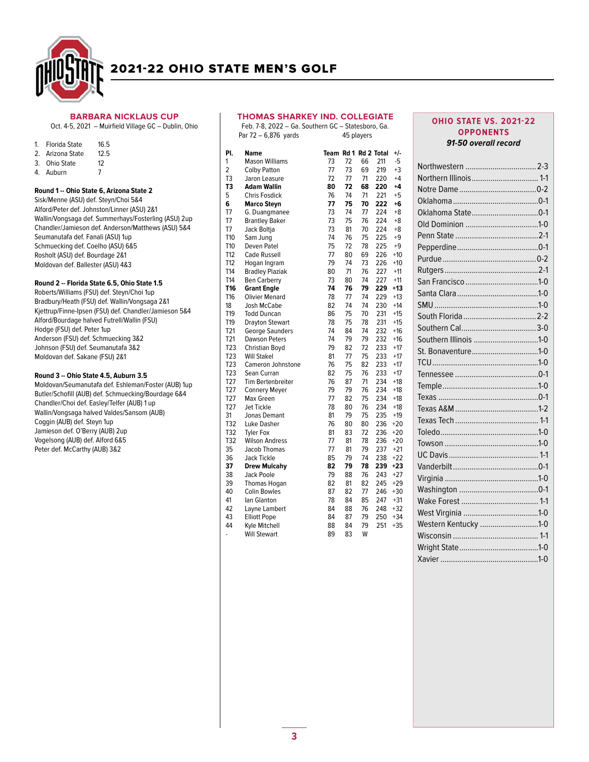

#### BARBARA NICKLAUS CUP

Oct. 4-5, 2021 - Muirfield Village GC - Dublin, Ohio

| Florida State<br>4 | 16.5 |
|--------------------|------|
|--------------------|------|

- 
- 2. Arizona State 12.5<br>3. Ohio State 12 3. Ohio State
- 4. Auburn 7

### Round 1 -- Ohio State 6, Arizona State 2

Sisk/Menne (ASU) def. Steyn/Choi 5&4 Alford/Peter def. Johnston/Linner (ASU) 2&1 Wallin/Vongsaga def. Summerhays/Fosterling (ASU) 2up Chandler/Jamieson def. Anderson/Matthews (ASU) 5&4 Seumanutafa def. Fanali (ASU) 1up Schmuecking def. Coelho (ASU) 6&5 Rosholt (ASU) def. Bourdage 2&1 Moldovan def. Ballester (ASU) 4&3

#### Round 2 -- Florida State 6.5, Ohio State 1.5

Roberts/Williams (FSU) def. Steyn/Choi 1up Bradbury/Heath (FSU) def. Wallin/Vongsaga 2&1 Kjettrup/Finne-Ipsen (FSU) def. Chandler/Jamieson 5&4 Alford/Bourdage halved Futrell/Wallin (FSU) Hodge (FSU) def. Peter 1up Anderson (FSU) def. Schmuecking 3&2 Johnson (FSU) def. Seumanutafa 3&2 Moldovan def. Sakane (FSU) 2&1

#### Round 3 -- Ohio State 4.5, Auburn 3.5

Moldovan/Seumanutafa def. Eshleman/Foster (AUB) 1up Butler/Schofill (AUB) def. Schmuecking/Bourdage 6&4 Chandler/Choi def. Easley/Telfer (AUB) 1 up Wallin/Vongsaga halved Valdes/Sansom (AUB) Coggin (AUB) def. Steyn 1up Jamieson def. O'Berry (AUB) 2up Vogelsong (AUB) def. Alford 6&5 Peter def. McCarthy (AUB) 3&2

### THOMAS SHARKEY IND. COLLEGIATE

|                          | <b>THOMAS SHARKEY IND. COLLEGIATE</b><br>Feb. 7-8, 2022 - Ga. Southern GC - Statesboro, Ga. |                      |    |            |     |       |
|--------------------------|---------------------------------------------------------------------------------------------|----------------------|----|------------|-----|-------|
|                          | Par 72 - 6,876 yards                                                                        |                      |    | 45 players |     |       |
| PI.                      | Name                                                                                        | Team Rd 1 Rd 2 Total |    |            |     | $+/-$ |
| 1                        | <b>Mason Williams</b>                                                                       | 73                   | 72 | 66         | 211 | $-5$  |
| 2                        | <b>Colby Patton</b>                                                                         | 77                   | 73 | 69         | 219 | $+3$  |
| T3                       | Jaron Leasure                                                                               | 72                   | 77 | 71         | 220 | $+4$  |
| T3                       | Adam Wallin                                                                                 | 80                   | 72 | 68         | 220 | $+4$  |
| 5                        | <b>Chris Fosdick</b>                                                                        | 76                   | 74 | 71         | 221 | $+5$  |
| 6                        | <b>Marco Steyn</b>                                                                          | 77                   | 75 | 70         | 222 | +6    |
| T7                       | G. Duangmanee                                                                               | 73                   | 74 | 77         | 224 | $+8$  |
| T7                       | <b>Brantley Baker</b>                                                                       | 73                   | 75 | 76         | 224 | $+8$  |
| T7                       | Jack Boltja                                                                                 | 73                   | 81 | 70         | 224 | $+8$  |
| T <sub>10</sub>          | Sam Jung                                                                                    | 74                   | 76 | 75         | 225 | $+9$  |
| T10                      | Deven Patel                                                                                 | 75                   | 72 | 78         | 225 | $+9$  |
| T <sub>12</sub>          | <b>Cade Russell</b>                                                                         | 77                   | 80 | 69         | 226 | $+10$ |
| T12                      | Hogan Ingram                                                                                | 79                   | 74 | 73         | 226 | $+10$ |
| T14                      | <b>Bradley Plaziak</b>                                                                      | 80                   | 71 | 76         | 227 | $+11$ |
| T14                      | <b>Ben Carberry</b>                                                                         | 73                   | 80 | 74         | 227 | $+11$ |
| T16                      | <b>Grant Engle</b>                                                                          | 74                   | 76 | 79         | 229 | $+13$ |
| T <sub>16</sub>          | <b>Olivier Menard</b>                                                                       | 78                   | 77 | 74         | 229 | $+13$ |
| 18                       | <b>Josh McCabe</b>                                                                          | 82                   | 74 | 74         | 230 | $+14$ |
| T19                      | <b>Todd Duncan</b>                                                                          | 86                   | 75 | 70         | 231 | $+15$ |
| T <sub>19</sub>          | <b>Drayton Stewart</b>                                                                      | 78                   | 75 | 78         | 231 | $+15$ |
| T21                      | George Saunders                                                                             | 74                   | 84 | 74         | 232 | $+16$ |
| T21                      | <b>Dawson Peters</b>                                                                        | 74                   | 79 | 79         | 232 | $+16$ |
| T23                      | Christian Boyd                                                                              | 79                   | 82 | 72         | 233 | $+17$ |
| T <sub>23</sub>          | <b>Will Stakel</b>                                                                          | 81                   | 77 | 75         | 233 | $+17$ |
| T <sub>23</sub>          | <b>Cameron Johnstone</b>                                                                    | 76                   | 75 | 82         | 233 | $+17$ |
| T <sub>23</sub>          | Sean Curran                                                                                 | 82                   | 75 | 76         | 233 | $+17$ |
| T27                      | <b>Tim Bertenbreiter</b>                                                                    | 76                   | 87 | 71         | 234 | $+18$ |
| T <sub>27</sub>          | <b>Connery Meyer</b>                                                                        | 79                   | 79 | 76         | 234 | $+18$ |
| T <sub>27</sub>          | Max Green                                                                                   | 77                   | 82 | 75         | 234 | $+18$ |
| T <sub>27</sub>          | Jet Tickle                                                                                  | 78                   | 80 | 76         | 234 | $+18$ |
| 31                       | Jonas Demant                                                                                | 81                   | 79 | 75         | 235 | $+19$ |
| T32                      | Luke Dasher                                                                                 | 76                   | 80 | 80         | 236 | $+20$ |
| T32                      | <b>Tyler Fox</b>                                                                            | 81                   | 83 | 72         | 236 | $+20$ |
| T32                      | <b>Wilson Andress</b>                                                                       | 77                   | 81 | 78         | 236 | $+20$ |
| 35                       | Jacob Thomas                                                                                | 77                   | 81 | 79         | 237 | $+21$ |
| 36                       | Jack Tickle                                                                                 | 85                   | 79 | 74         | 238 | $+22$ |
| 37                       | <b>Drew Mulcahv</b>                                                                         | 82                   | 79 | 78         | 239 | $+23$ |
| 38                       | <b>Jack Poole</b>                                                                           | 79                   | 88 | 76         | 243 | $+27$ |
| 39                       | <b>Thomas Hogan</b>                                                                         | 82                   | 81 | 82         | 245 | $+29$ |
| 40                       | <b>Colin Bowles</b>                                                                         | 87                   | 82 | 77         | 246 | $+30$ |
| 41                       | lan Glanton                                                                                 | 78                   | 84 | 85         | 247 | $+31$ |
| 42                       | Layne Lambert                                                                               | 84                   | 88 | 76         | 248 | $+32$ |
| 43                       | <b>Elliott Pope</b>                                                                         | 84                   | 87 | 79         | 250 | $+34$ |
| 44                       | Kyle Mitchell                                                                               | 88                   | 84 | 79         | 251 | $+35$ |
| $\overline{\phantom{0}}$ | Will Stewart                                                                                | 89                   | 83 | w          |     |       |

### **OHIO STATE VS. 2021-22** OPPONENTS 91-50 overall record

| Southern Illinois 1-0 |
|-----------------------|
| St. Bonaventure1-0    |
|                       |
|                       |
|                       |
|                       |
|                       |
|                       |
|                       |
|                       |
|                       |
|                       |
|                       |
|                       |
|                       |
|                       |
| Western Kentucky 1-0  |
|                       |
|                       |
|                       |
|                       |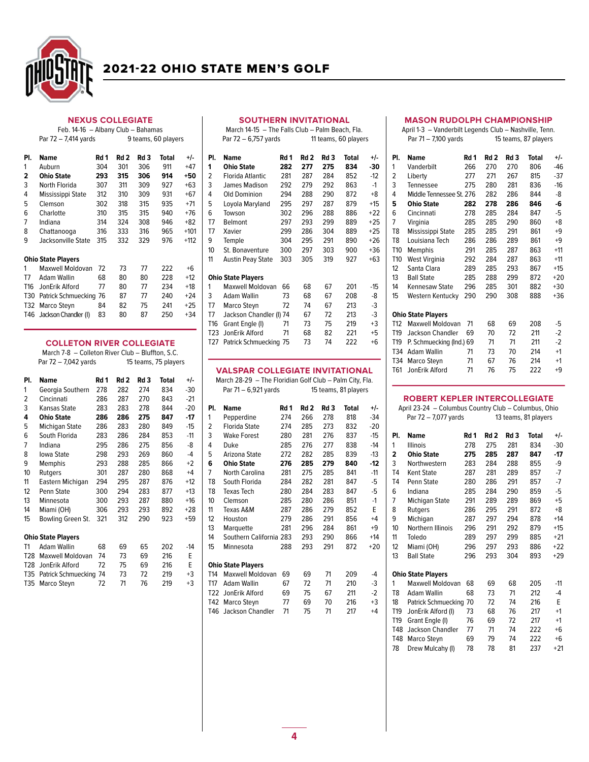

Par  $72 - 7,414$  yards

# 2021-22 OHIO STATE MEN'S GOLF

# NEXUS COLLEGIATE Feb. 14-16 – Albany Club – Bahamas

| PI. | Name                      | Rd 1 | Rd 2 | Rd 3 | Total | +/-    |
|-----|---------------------------|------|------|------|-------|--------|
| 1   | Auburn                    | 304  | 301  | 306  | 911   | $+47$  |
| 2   | <b>Ohio State</b>         | 293  | 315  | 306  | 914   | +50    |
| 3   | North Florida             | 307  | 311  | 309  | 927   | $+63$  |
| 4   | Mississippi State         | 312  | 310  | 309  | 931   | $+67$  |
| 5   | Clemson                   | 302  | 318  | 315  | 935   | $+71$  |
| 6   | Charlotte                 | 310  | 315  | 315  | 940   | $+76$  |
| 7   | Indiana                   | 314  | 324  | 308  | 946   | $+82$  |
| 8   | Chattanooga               | 316  | 333  | 316  | 965   | $+101$ |
| 9   | Jacksonville State        | 315  | 332  | 329  | 976   | $+112$ |
|     | <b>Ohio State Players</b> |      |      |      |       |        |
| 1   | Maxwell Moldovan          | 72   | 73   | 77   | 222   | $+6$   |
| T7  | Adam Wallin               | 68   | 80   | 80   | 228   | $+12$  |
| T16 | JonErik Alford            | 77   | 80   | 77   | 234   | $+18$  |

| 1  | Maxwell Moldovan 72        |    | 73 | 77 | 222 | $+6$  |
|----|----------------------------|----|----|----|-----|-------|
| T7 | <b>Adam Wallin</b>         | 68 | 80 | 80 | 228 | $+12$ |
|    | T16 JonErik Alford         | 77 | 80 | 77 | 234 | $+18$ |
|    | T30 Patrick Schmuecking 76 |    | 87 | 77 | 240 | $+24$ |
|    | T32 Marco Stevn            | 84 | 82 | 75 | 241 | $+25$ |
|    | T46 Jackson Chandler (I)   | 83 | 80 | 87 | 250 | $+34$ |

### COLLETON RIVER COLLEGIATE

March 7-8 – Colleton River Club – Bluffton, S.C.<br>Par 72 – 7,042 yards 15 teams, 75 players Par  $72 - 7,042$  yards

| PI.             | Name                      | Rd 1 | Rd 2 | Rd 3 | Total | +/-   |
|-----------------|---------------------------|------|------|------|-------|-------|
| 1               | Georgia Southern          | 278  | 282  | 274  | 834   | $-30$ |
| 2               | Cincinnati                | 286  | 287  | 270  | 843   | $-21$ |
| 3               | Kansas State              | 283  | 283  | 278  | 844   | $-20$ |
| 4               | <b>Ohio State</b>         | 286  | 286  | 275  | 847   | -17   |
| 5               | Michigan State            | 286  | 283  | 280  | 849   | $-15$ |
| 6               | South Florida             | 283  | 286  | 284  | 853   | $-11$ |
| 7               | Indiana                   | 295  | 286  | 275  | 856   | -8    |
| 8               | Iowa State                | 298  | 293  | 269  | 860   | $-4$  |
| 9               | Memphis                   | 293  | 288  | 285  | 866   | $+2$  |
| 10              | Rutgers                   | 301  | 287  | 280  | 868   | $+4$  |
| 11              | Eastern Michigan          | 294  | 295  | 287  | 876   | $+12$ |
| 12              | Penn State                | 300  | 294  | 283  | 877   | $+13$ |
| 13              | Minnesota                 | 300  | 293  | 287  | 880   | $+16$ |
| 14              | Miami (OH)                | 306  | 293  | 293  | 892   | $+28$ |
| 15              | Bowling Green St.         | 321  | 312  | 290  | 923   | +59   |
|                 | <b>Ohio State Players</b> |      |      |      |       |       |
| T1              | Adam Wallin               | 68   | 69   | 65   | 202   | $-14$ |
| T <sub>28</sub> | Maxwell Moldovan          | 74   | 73   | 69   | 216   | E     |
| T <sub>28</sub> | JonErik Alford            | 72   | 75   | 69   | 216   | E     |
| T35             | Patrick Schmuecking       | 74   | 73   | 72   | 219   | $+3$  |
| T35             | Marco Steyn               | 72   | 71   | 76   | 219   | $+3$  |

### SOUTHERN INVITATIONAL

March 14-15 – The Falls Club – Palm Beach, Fla. Par  $72 - 6,757$  yards

| PI. | Name                     | Rd 1 | Rd <sub>2</sub> | Rd 3 | Total | +/-   |
|-----|--------------------------|------|-----------------|------|-------|-------|
| 1   | Ohio State               | 282  | 277             | 275  | 834   | -30   |
| 2   | Florida Atlantic         | 281  | 287             | 284  | 852   | $-12$ |
| 3   | James Madison            | 292  | 279             | 292  | 863   | $-1$  |
| 4   | <b>Old Dominion</b>      | 294  | 288             | 290  | 872   | +8    |
| 5   | Loyola Maryland          | 295  | 297             | 287  | 879   | $+15$ |
| 6   | Towson                   | 302  | 296             | 288  | 886   | $+22$ |
| T7  | Belmont                  | 297  | 293             | 299  | 889   | $+25$ |
| T7  | Xavier                   | 299  | 286             | 304  | 889   | $+25$ |
| 9   | Temple                   | 304  | 295             | 291  | 890   | $+26$ |
| 10  | St. Bonaventure          | 300  | 297             | 303  | 900   | $+36$ |
| 11  | <b>Austin Peay State</b> | 303  | 305             | 319  | 927   | $+63$ |
|     | Ohio State Players       |      |                 |      |       |       |
| 1   | Maxwell Moldovan         | 66   | 68              | 67   | 201   | $-15$ |
| 3   | Adam Wallin              | 73   | 68              | 67   | 208   | -8    |
| T7  | Marco Steyn              | 72   | 74              | 67   | 213   | -3    |
| T7  |                          |      | 67              | 72   | 213   | -3    |
|     | Jackson Chandler (I) 74  |      |                 |      |       |       |

# VALSPAR COLLEGIATE INVITATIONAL

T16 Grant Engle (I) 71 73 75 219 +3<br>T23 JonErik Alford 71 68 82 221 +5

T27 Patrick Schmuecking 75 73 74 222 +6

T23 JonErik Alford

|                 | March 28-29  – The Floridian Golf Club – Palm City, Fla. |      |      |      |                      |       |
|-----------------|----------------------------------------------------------|------|------|------|----------------------|-------|
|                 | Par 71 – 6,921 yards                                     |      |      |      | 15 teams, 81 players |       |
| PI.             | <b>Name</b>                                              | Rd 1 | Rd 2 | Rd 3 | <b>Total</b>         | +/-   |
| 1               | Pepperdine                                               | 274  | 266  | 278  | 818                  | $-34$ |
| 2               | Florida State                                            | 274  | 285  | 273  | 832                  | $-20$ |
| 3               | <b>Wake Forest</b>                                       | 280  | 281  | 276  | 837                  | $-15$ |
| 4               | Duke                                                     | 285  | 276  | 277  | 838                  | $-14$ |
| 5               | Arizona State                                            | 272  | 282  | 285  | 839                  | $-13$ |
| 6               | <b>Ohio State</b>                                        | 276  | 285  | 279  | 840                  | $-12$ |
| 7               | <b>North Carolina</b>                                    | 281  | 275  | 285  | 841                  | $-11$ |
| T <sub>8</sub>  | South Florida                                            | 284  | 282  | 281  | 847                  | -5    |
| T8              | <b>Texas Tech</b>                                        | 280  | 284  | 283  | 847                  | -5    |
| 10              | Clemson                                                  | 285  | 280  | 286  | 851                  | $-1$  |
| 11              | Texas A&M                                                | 287  | 286  | 279  | 852                  | E     |
| 12              | Houston                                                  | 279  | 286  | 291  | 856                  | $+4$  |
| 13              | Marquette                                                | 281  | 296  | 284  | 861                  | $+9$  |
| 14              | Southern California 283                                  |      | 293  | 290  | 866                  | $+14$ |
| 15              | Minnesota                                                | 288  | 293  | 291  | 872                  | $+20$ |
|                 | <b>Ohio State Players</b>                                |      |      |      |                      |       |
| T14             | <b>Maxwell Moldovan</b>                                  | 69   | 69   | 71   | 209                  | -4    |
| T17             | Adam Wallin                                              | 67   | 72   | 71   | 210                  | -3    |
| T <sub>22</sub> | JonErik Alford                                           | 69   | 75   | 67   | 211                  | $-2$  |
| T42             | Marco Steyn                                              | 77   | 69   | 70   | 216                  | +3    |

T46 Jackson Chandler 71 75 71 217 +4

### MASON RUDOLPH CHAMPIONSHIP

April 1-3 – Vanderbilt Legends Club – Nashville, Tenn. 15 teams, 87 players Pl. Name Rd 1 Rd 2 Rd 3 Total +/-

| 1               | Vanderbilt                | 266 | 270 | 270 | 806 | -46   |
|-----------------|---------------------------|-----|-----|-----|-----|-------|
| 2               | Liberty                   | 277 | 271 | 267 | 815 | $-37$ |
| 3               | Tennessee                 | 275 | 280 | 281 | 836 | $-16$ |
| 4               | Middle Tennessee St. 276  |     | 282 | 286 | 844 | -8    |
| 5               | <b>Ohio State</b>         | 282 | 278 | 286 | 846 | -6    |
| 6               | Cincinnati                | 278 | 285 | 284 | 847 | -5    |
| 7               | Virginia                  | 285 | 285 | 290 | 860 | $+8$  |
| T <sub>8</sub>  | Mississippi State         | 285 | 285 | 291 | 861 | $+9$  |
| T8              | Louisiana Tech            | 286 | 286 | 289 | 861 | $+9$  |
| T10             | Memphis                   | 291 | 285 | 287 | 863 | $+11$ |
| T <sub>10</sub> | West Virginia             | 292 | 284 | 287 | 863 | $+11$ |
| 12              | Santa Clara               | 289 | 285 | 293 | 867 | $+15$ |
| 13              | <b>Ball State</b>         | 285 | 288 | 299 | 872 | $+20$ |
| 14              | Kennesaw State            | 296 | 285 | 301 | 882 | +30   |
| 15              | Western Kentucky          | 290 | 290 | 308 | 888 | +36   |
|                 | <b>Ohio State Players</b> |     |     |     |     |       |
| T12             | Maxwell Moldovan          | 71  | 68  | 69  | 208 | -5    |
| T19             | <b>Jackson Chandler</b>   | 69  | 70  | 72  | 211 | $-2$  |
| T19             | P. Schmuecking (Ind.) 69  |     | 71  | 71  | 211 | $-2$  |
| T34             | <b>Adam Wallin</b>        | 71  | 73  | 70  | 214 | $+1$  |
| T34             | Marco Steyn               | 71  | 67  | 76  | 214 | $+1$  |
| T61             | JonErik Alford            | 71  | 76  | 75  | 222 | $+9$  |
|                 |                           |     |     |     |     |       |

#### ROBERT KEPLER INTERCOLLEGIATE

| April 23-24 - Columbus Country Club - Columbus, Ohio |                           |      |                      |      |              |       |  |  |  |  |
|------------------------------------------------------|---------------------------|------|----------------------|------|--------------|-------|--|--|--|--|
|                                                      | Par 72 – 7,077 yards      |      | 13 teams, 81 players |      |              |       |  |  |  |  |
| PI.                                                  | Name                      | Rd 1 | Rd <sub>2</sub>      | Rd 3 | <b>Total</b> | +/-   |  |  |  |  |
| 1                                                    | <b>Illinois</b>           | 278  | 275                  | 281  | 834          | $-30$ |  |  |  |  |
| $\overline{2}$                                       | <b>Ohio State</b>         | 275  | 285                  | 287  | 847          | $-17$ |  |  |  |  |
| 3                                                    | Northwestern              | 283  | 284                  | 288  | 855          | -9    |  |  |  |  |
| T <sub>4</sub>                                       | <b>Kent State</b>         | 287  | 281                  | 289  | 857          | $-7$  |  |  |  |  |
| T <sub>4</sub>                                       | Penn State                | 280  | 286                  | 291  | 857          | $-7$  |  |  |  |  |
| 6                                                    | Indiana                   | 285  | 284                  | 290  | 859          | -5    |  |  |  |  |
| $\overline{7}$                                       | Michigan State            | 291  | 289                  | 289  | 869          | $+5$  |  |  |  |  |
| 8                                                    | Rutgers                   | 286  | 295                  | 291  | 872          | $+8$  |  |  |  |  |
| 9                                                    | Michigan                  | 287  | 297                  | 294  | 878          | $+14$ |  |  |  |  |
| 10                                                   | <b>Northern Illinois</b>  | 296  | 291                  | 292  | 879          | $+15$ |  |  |  |  |
| 11                                                   | Toledo                    | 289  | 297                  | 299  | 885          | $+21$ |  |  |  |  |
| 12                                                   | Miami (OH)                | 296  | 297                  | 293  | 886          | $+22$ |  |  |  |  |
| 13                                                   | <b>Ball State</b>         | 296  | 293                  | 304  | 893          | $+29$ |  |  |  |  |
|                                                      | <b>Ohio State Players</b> |      |                      |      |              |       |  |  |  |  |
| 1                                                    | Maxwell Moldovan          | 68   | 69                   | 68   | 205          | $-11$ |  |  |  |  |
| T <sub>8</sub>                                       | <b>Adam Wallin</b>        | 68   | 73                   | 71   | 212          | $-4$  |  |  |  |  |
| 18                                                   | Patrick Schmuecking 70    |      | 72                   | 74   | 216          | F     |  |  |  |  |
| T19                                                  | JonErik Alford (I)        | 73   | 68                   | 76   | 217          | $+1$  |  |  |  |  |
| T <sub>19</sub>                                      | Grant Engle (I)           | 76   | 69                   | 72   | 217          | $+1$  |  |  |  |  |
| T48                                                  | <b>Jackson Chandler</b>   | 77   | 71                   | 74   | 222          | $+6$  |  |  |  |  |
| <b>T48</b>                                           | Marco Steyn               | 69   | 79                   | 74   | 222          | $+6$  |  |  |  |  |
| 78                                                   | Drew Mulcahy (I)          | 78   | 78                   | 81   | 237          | $+21$ |  |  |  |  |
|                                                      |                           |      |                      |      |              |       |  |  |  |  |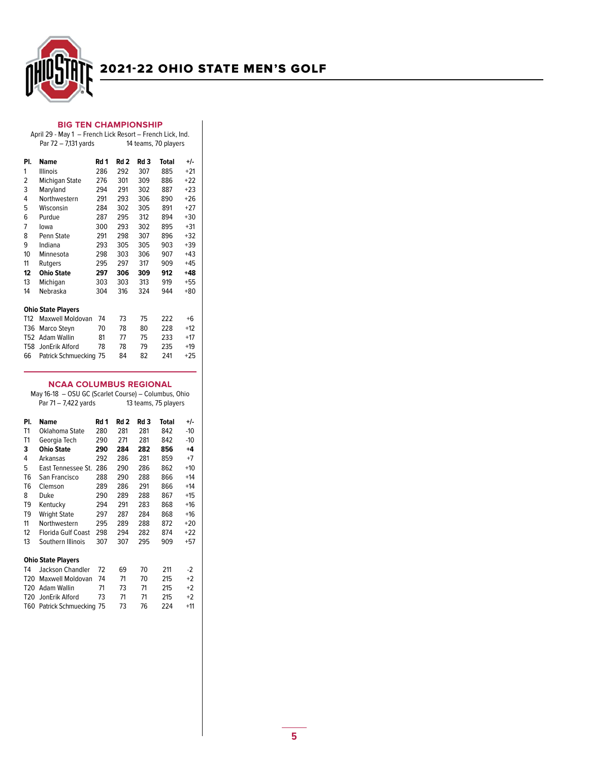

### BIG TEN CHAMPIONSHIP

#### April 29 - May 1 – French Lick Resort – French Lick, Ind. 14 teams, 70 players

| PI.             | <b>Name</b>               | Rd 1 | Rd 2 | Rd 3 | Total | +/-   |
|-----------------|---------------------------|------|------|------|-------|-------|
| 1               | <b>Illinois</b>           | 286  | 292  | 307  | 885   | $+21$ |
| 2               | Michigan State            | 276  | 301  | 309  | 886   | $+22$ |
| 3               | Maryland                  | 294  | 291  | 302  | 887   | $+23$ |
| 4               | Northwestern              | 291  | 293  | 306  | 890   | $+26$ |
| 5               | Wisconsin                 | 284  | 302  | 305  | 891   | $+27$ |
| 6               | Purdue                    | 287  | 295  | 312  | 894   | $+30$ |
| 7               | lowa                      | 300  | 293  | 302  | 895   | $+31$ |
| 8               | Penn State                | 291  | 298  | 307  | 896   | $+32$ |
| 9               | Indiana                   | 293  | 305  | 305  | 903   | $+39$ |
| 10              | Minnesota                 | 298  | 303  | 306  | 907   | $+43$ |
| 11              | Rutgers                   | 295  | 297  | 317  | 909   | $+45$ |
| 12              | <b>Ohio State</b>         | 297  | 306  | 309  | 912   | $+48$ |
| 13              | Michigan                  | 303  | 303  | 313  | 919   | $+55$ |
| 14              | Nebraska                  | 304  | 316  | 324  | 944   | $+80$ |
|                 |                           |      |      |      |       |       |
|                 | <b>Ohio State Players</b> |      |      |      |       |       |
| T <sub>12</sub> | <b>Maxwell Moldovan</b>   | 74   | 73   | 75   | 222   | $+6$  |
| T <sub>36</sub> | Marco Steyn               | 70   | 78   | 80   | 228   | $+12$ |
| T <sub>52</sub> | <b>Adam Wallin</b>        | 81   | 77   | 75   | 233   | $+17$ |
| <b>T58</b>      | JonErik Alford            | 78   | 78   | 79   | 235   | $+19$ |
| 66              | Patrick Schmuecking       | 75   | 84   | 82   | 241   | $+25$ |

### NCAA COLUMBUS REGIONAL

| May 16-18 - OSU GC (Scarlet Course) - Columbus, Ohio |                           |      |                      |                 |       |       |  |  |  |
|------------------------------------------------------|---------------------------|------|----------------------|-----------------|-------|-------|--|--|--|
|                                                      | Par 71 – 7,422 yards      |      | 13 teams, 75 players |                 |       |       |  |  |  |
| PI.                                                  | <b>Name</b>               | Rd 1 | Rd 2                 | Rd <sub>3</sub> | Total | $+/-$ |  |  |  |
| T1                                                   | Oklahoma State            | 280  | 281                  | 281             | 842   | $-10$ |  |  |  |
| T1                                                   | Georgia Tech              | 290  | 271                  | 281             | 842   | -10   |  |  |  |
| 3                                                    | <b>Ohio State</b>         | 290  | 284                  | 282             | 856   | $+4$  |  |  |  |
| 4                                                    | Arkansas                  | 292  | 286                  | 281             | 859   | $+7$  |  |  |  |
| 5                                                    | East Tennessee St.        | 286  | 290                  | 286             | 862   | $+10$ |  |  |  |
| T <sub>6</sub>                                       | San Francisco             | 288  | 290                  | 288             | 866   | $+14$ |  |  |  |
| T <sub>6</sub>                                       | Clemson                   | 289  | 286                  | 291             | 866   | $+14$ |  |  |  |
| 8                                                    | Duke                      | 290  | 289                  | 288             | 867   | $+15$ |  |  |  |
| T9                                                   | Kentucky                  | 294  | 291                  | 283             | 868   | $+16$ |  |  |  |
| T <sub>9</sub>                                       | <b>Wright State</b>       | 297  | 287                  | 284             | 868   | $+16$ |  |  |  |
| 11                                                   | Northwestern              | 295  | 289                  | 288             | 872   | $+20$ |  |  |  |
| 12                                                   | <b>Florida Gulf Coast</b> | 298  | 294                  | 282             | 874   | $+22$ |  |  |  |
| 13                                                   | Southern Illinois         | 307  | 307                  | 295             | 909   | $+57$ |  |  |  |
|                                                      | <b>Ohio State Players</b> |      |                      |                 |       |       |  |  |  |
| T4                                                   | <b>Jackson Chandler</b>   | 72   | 69                   | 70              | 211   | $-2$  |  |  |  |
| T <sub>20</sub>                                      | Maxwell Moldovan          | 74   | 71                   | 70              | 215   | $+2$  |  |  |  |
| T <sub>20</sub>                                      | Adam Wallin               | 71   | 73                   | 71              | 215   | $+2$  |  |  |  |
| T <sub>20</sub>                                      | JonErik Alford            | 73   | 71                   | 71              | 215   | $+2$  |  |  |  |
| T60                                                  | Patrick Schmuecking 75    |      | 73                   | 76              | 224   | $+11$ |  |  |  |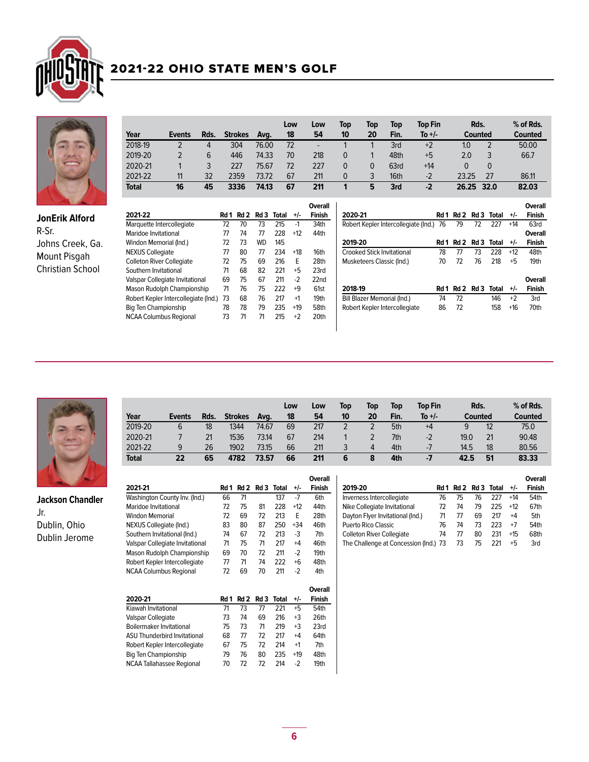



JonErik Alford R-Sr. Johns Creek, Ga. Mount Pisgah Christian School

|              |        |      |                |       | Low | Low | Top | Top | Top  | <b>Top Fin</b> | Rds.     |          | % of Rds.      |
|--------------|--------|------|----------------|-------|-----|-----|-----|-----|------|----------------|----------|----------|----------------|
| Year         | Events | Rds. | <b>Strokes</b> | Ava.  | 18  | 54  | 10  | 20  | Fin. | To $+/-$       | Counted  |          | <b>Counted</b> |
| 2018-19      |        | 4    | 304            | 76.00 | 72  |     |     |     | 3rd  | $+2$           | 1.0      |          | 50.00          |
| 2019-20      |        | 6    | 446            | 74.33 | 70  | 218 | 0   |     | 48th | $+5$           | 2.0      |          | 66.7           |
| 2020-21      |        |      | 227            | 75.67 | 72  | 227 | 0   | 0   | 63rd | $+14$          | $\Omega$ | $\Omega$ |                |
| 2021-22      | 11     | 32   | 2359           | 73.72 | 67  | 211 | 0   | 3   | 16th | $-2$           | 23.25    | 27       | 86.11          |
| <b>Total</b> | 16     | 45   | 3336           | 74.13 | 67  | 211 |     | 5   | 3rd  | $-2$           | 26.25    | 32.0     | 82.03          |

|                                      |      |      |           |       |       | Overall       |
|--------------------------------------|------|------|-----------|-------|-------|---------------|
| 2021-22                              | Rd 1 | Rd 2 | Rd 3      | Total | +/-   | <b>Finish</b> |
| Marquette Intercollegiate            | 72   | 70   | 73        | 215   | $-1$  | 34th          |
| Maridoe Invitational                 | 77   | 74   | 77        | 228   | $+12$ | 44th          |
| Windon Memorial (Ind.)               | 72   | 73   | <b>WD</b> | 145   |       |               |
| <b>NEXUS Collegiate</b>              | 77   | 80   | 77        | 234   | $+18$ | 16th          |
| <b>Colleton River Collegiate</b>     | 72   | 75   | 69        | 216   | F     | 28th          |
| Southern Invitational                | 71   | 68   | 82        | 221   | $+5$  | 23rd          |
| Valspar Collegiate Invitational      | 69   | 75   | 67        | 211   | $-2$  | 22nd          |
| Mason Rudolph Championship           | 71   | 76   | 75        | 222   | $+9$  | 61st          |
| Robert Kepler Intercollegiate (Ind.) | 73   | 68   | 76        | 217   | $+1$  | 19th          |
| Big Ten Championship                 | 78   | 78   | 79        | 235   | $+19$ | 58th          |
| <b>NCAA Columbus Regional</b>        | 73   | 71   | 71        | 215   | $+2$  | 20th          |
|                                      |      |      |           |       |       |               |

| 2020-21                              | Rd 1 | Rd 2 |      | Rd 3 Total | +/-   | Overall<br>Finish        |
|--------------------------------------|------|------|------|------------|-------|--------------------------|
| Robert Kepler Intercollegiate (Ind.) | 76   | 79   | 72   | 227        | $+14$ | 63rd                     |
|                                      |      |      |      |            |       | Overall                  |
| 2019-20                              | Rd 1 | Rd 2 | Rd 3 | Total      | +/-   | <b>Finish</b>            |
| Crooked Stick Invitational           | 78   | 77   | 73   | 228        | $+12$ | 48th                     |
| Musketeers Classic (Ind.)            | 70   | 72   | 76   | 218        | $+5$  | 19th                     |
| 2018-19                              | Rd 1 | Rd 2 | Rd 3 | Total      | +/-   | Overall<br><b>Finish</b> |
| Bill Blazer Memorial (Ind.)          | 74   | 72   |      | 146        | $+2$  | 3rd                      |
| Robert Kepler Intercollegiate        | 86   | 72   |      | 158        | $+16$ | 70th                     |



**Jackson Chandler**<br>Mass Chandler Mark Jr. Dublin, Ohio Dublin Jerome

| Year    | Events | Rds. | <b>Strokes</b> | Avg.  | Low<br>18 | Low<br>54 | Top<br>10 | Top<br>20 | Top<br>Fin. | <b>Top Fin</b><br>To $+/-$ | Rds.<br>Counted |     | $%$ of Rds.<br>Counted |
|---------|--------|------|----------------|-------|-----------|-----------|-----------|-----------|-------------|----------------------------|-----------------|-----|------------------------|
| 2019-20 | 6      | 18   | 1344           | 74.67 | 69        | 217       |           |           | 5th         | $+4$                       | 9               | 12  | 75.0                   |
| 2020-21 |        | 21   | 1536           | 73.14 | 67        | 214       |           |           | 7th         | $-2$                       | 19.0            | 21  | 90.48                  |
| 2021-22 | 9      | 26   | 1902           | 73.15 | 66        | 211       |           | 4         | 4th         | -7                         | 14.5            | 18  | 80.56                  |
| Total   | 22     | 65   | 4782           | 73.57 | 66        | 211       | 6         | 8         | 4th         | -7                         | 42.5            | -51 | 83.33                  |

|                                 |      |      |      |            |       | Overall        |
|---------------------------------|------|------|------|------------|-------|----------------|
| 2021-21                         | Rd 1 | Rd 2 | Rd 3 | Total      | +/-   | Finish         |
| Washington County Inv. (Ind.)   | 66   | 71   |      | 137        | -7    | 6th            |
| Maridoe Invitational            | 72   | 75   | 81   | 228        | $+12$ | 44th           |
| Windon Memorial                 | 72   | 69   | 72   | 213        | F     | 28th           |
| NEXUS Collegiate (Ind.)         | 83   | 80   | 87   | 250        | $+34$ | 46th           |
| Southern Invitational (Ind.)    | 74   | 67   | 72   | 213        | $-3$  | 7th            |
| Valspar Collegiate Invitational | 71   | 75   | 71   | 217        | $+4$  | 46th           |
| Mason Rudolph Championship      | 69   | 70   | 72   | 211        | $-2$  | 19th           |
| Robert Kepler Intercollegiate   | 77   | 71   | 74   | 222        | $+6$  | 48th           |
| <b>NCAA Columbus Regional</b>   | 72   | 69   | 70   | 211        | -2    | 4th            |
|                                 |      |      |      |            |       | <b>Overall</b> |
| 2020-21                         | Rd 1 | Rd 2 |      | Rd 3 Total | +/-   | Finish         |

|                                       |    |                      |    |     |       | Overall       |
|---------------------------------------|----|----------------------|----|-----|-------|---------------|
| 2019-20                               |    | Rd 1 Rd 2 Rd 3 Total |    |     | +/-   | <b>Finish</b> |
| Inverness Intercollegiate             | 76 | 75                   | 76 | 227 | $+14$ | 54th          |
| Nike Collegiate Invitational          | 72 | 74                   | 79 | 225 | +12   | 67th          |
| Dayton Flyer Invitational (Ind.)      | 71 | 77                   | 69 | 217 | +4    | 5th           |
| Puerto Rico Classic                   | 76 | 74                   | 73 | 223 | $+7$  | 54th          |
| <b>Colleton River Collegiate</b>      | 74 | 77                   | 80 | 231 | $+15$ | 68th          |
| The Challenge at Concession (Ind.) 73 |    | 73                   | 75 | 221 | +5    | 3rd           |
|                                       |    |                      |    |     |       |               |

| 2020-21                       | Rd 1 |    | Rd 2 Rd 3 Total |     | $+/-$   | Overall<br><b>Finish</b> |
|-------------------------------|------|----|-----------------|-----|---------|--------------------------|
| Kiawah Invitational           | 71   | 73 | 77              | 221 | +5      | 54th                     |
| Valspar Collegiate            | 73   | 74 | 69              | 216 | $+3$    | 26th                     |
| Boilermaker Invitational      | 75   | 73 | 71              | 219 | $+3$    | 23rd                     |
| ASU Thunderbird Invitational  | 68   | 77 | 72              | 217 | $+4$    | 64th                     |
| Robert Kepler Intercollegiate | 67   | 75 | 72              | 214 | $^{+1}$ | 7th                      |
| Big Ten Championship          | 79   | 76 | 80              | 235 | $+19$   | 48th                     |
| NCAA Tallahassee Regional     | 70   | 72 | 72              | 214 | -2      | 19th                     |
|                               |      |    |                 |     |         |                          |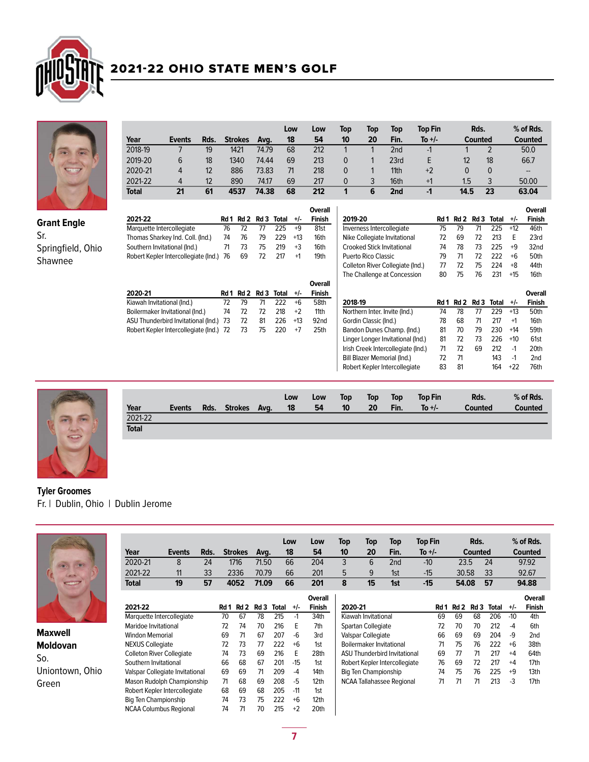



|              |               |                   |                |       | Low | Low | Top | Top | Top              | <b>Top Fin</b> | Rds.    |    | % of Rds. |
|--------------|---------------|-------------------|----------------|-------|-----|-----|-----|-----|------------------|----------------|---------|----|-----------|
| Year         | <b>Events</b> | Rds.              | <b>Strokes</b> | Ava.  | 18  | 54  | 10  | 20  | Fin.             | To +/-         | Counted |    | Counted   |
| 2018-19      |               | 19                | 1421           | 74.79 | 68  | 212 |     |     | 2nd              | -1             |         |    | 50.0      |
| 2019-20      | 6             | 18                | 1340           | 74.44 | 69  | 213 |     |     | 23rd             |                | 12      | 18 | 66.7      |
| 2020-21      | 4             | $12 \overline{ }$ | 886            | 73.83 | 71  | 218 | 0   |     | 11 <sub>th</sub> | $+2$           | 0       |    | $- -$     |
| 2021-22      | 4             | 12                | 890            | 74.17 | 69  | 217 | 0   | 3   | 16th             | $+1$           | 1.5     |    | 50.00     |
| <b>Total</b> | 21            | 61                | 4537           | 74.38 | 68  | 212 |     | 6   | 2nd              | -1             | 14.5    | 23 | 63.04     |

Overall

Overall<br>Finish+/-

Bill Blazer Memorial (Ind.) 72 71 143 -1 2nd<br>Robert Kepler Intercollegiate 83 81 164 +22 76th

| <b>Grant Engle</b> |
|--------------------|
| Sr.                |
| Springfield, Ohio  |
| Shawnee            |

|                                         |      |      |      |       |       | Overall          |                                    |      |      |      |       |       | Overal        |
|-----------------------------------------|------|------|------|-------|-------|------------------|------------------------------------|------|------|------|-------|-------|---------------|
| 2021-22                                 | Rd 1 | Rd 2 | Rd 3 | Total | $+/-$ | <b>Finish</b>    | 2019-20                            | Rd 1 | Rd 2 | Rd 3 | Total | $+/-$ | <b>Finish</b> |
| Marquette Intercollegiate               | 76   | 72   | 77   | 225   | $+9$  | 81st             | Inverness Intercollegiate          | 75   | 79   | 71   | 225   | $+12$ | 46th          |
| Thomas Sharkey Ind. Coll. (Ind.)        | 74   | 76   | 79   | 229   | $+13$ | 16th             | Nike Collegiate Invitational       | 72   | 69   | 72   | 213   | Е     | 23rd          |
| Southern Invitational (Ind.)            | 71   | 73   | 75   | 219   | $+3$  | 16th             | <b>Crooked Stick Invitational</b>  | 74   | 78   | 73   | 225   | $+9$  | 32nd          |
| Robert Kepler Intercollegiate (Ind.)    | 76   | 69   | 72   | 217   | $+1$  | 19th             | Puerto Rico Classic                | 79   | 71   | 72   | 222   | $+6$  | 50th          |
|                                         |      |      |      |       |       |                  | Colleton River Collegiate (Ind.)   | 77   | 72   | 75   | 224   | $+8$  | 44th          |
|                                         |      |      |      |       |       |                  | The Challenge at Concession        | 80   | 75   | 76   | 231   | +15   | 16th          |
|                                         |      |      |      |       |       | Overall          |                                    |      |      |      |       |       |               |
| 2020-21                                 | Rd 1 | Rd 2 | Rd 3 | Total | $+/-$ | <b>Finish</b>    |                                    |      |      |      |       |       | Overal        |
| Kiawah Invitational (Ind.)              | 72   | 79   | 71   | 222   | $+6$  | 58th             | 2018-19                            | Rd 1 | Rd 2 | Rd 3 | Total | $+/-$ | <b>Finish</b> |
| Boilermaker Invitational (Ind.)         | 74   | 72   | 72   | 218   | $+2$  | 11th             | Northern Inter. Invite (Ind.)      | 74   | 78   | 77   | 229   | $+13$ | 50th          |
| ASU Thunderbird Invitational (Ind.) 73  |      | 72   | 81   | 226   | $+13$ | 92 <sub>nd</sub> | Gordin Classic (Ind.)              | 78   | 68   | 71   | 217   | $+1$  | 16th          |
| Robert Kepler Intercollegiate (Ind.) 72 |      | 73   | 75   | 220   | $+7$  | 25th             | Bandon Dunes Champ. (Ind.)         | 81   | 70   | 79   | 230   | $+14$ | 59th          |
|                                         |      |      |      |       |       |                  | Linger Longer Invitational (Ind.)  | 81   | 72   | 73   | 226   | $+10$ | 61st          |
|                                         |      |      |      |       |       |                  | Irish Creek Intercollegiate (Ind.) | 71   | 72   | 69   | 212   | $-1$  | 20th          |
|                                         |      |      |      |       |       |                  |                                    |      |      |      |       |       |               |



| Year         | <b>Events</b> | Rds. | <b>Strokes</b> | Avg. | Low<br>18 | Low<br>54 | Top<br>10 | Top<br>20 | <b>Top</b><br>Fin. | <b>Top Fin</b><br>To $+/-$ | Rds.<br><b>Counted</b> | % of Rds.<br><b>Counted</b> |
|--------------|---------------|------|----------------|------|-----------|-----------|-----------|-----------|--------------------|----------------------------|------------------------|-----------------------------|
| 2021-22      |               |      |                |      |           |           |           |           |                    |                            |                        |                             |
| <b>Total</b> |               |      |                |      |           |           |           |           |                    |                            |                        |                             |

Robert Kepler Intercollegiate

## Tyler Groomes Fr. | Dublin, Ohio | Dublin Jerome



Maxwell Moldovan So. Uniontown, Ohio Green

| Year                             | <b>Events</b> | Rds. |      | <b>Strokes</b>  | Avq.            |              | Low<br>18 | Low<br>54        | Top<br>10      | Top<br>20                | Top<br>Fin.                         | <b>Top Fin</b><br>To $+/-$ |       | Rds.<br>Counted |       |       | $%$ of Rds.<br>Counted |
|----------------------------------|---------------|------|------|-----------------|-----------------|--------------|-----------|------------------|----------------|--------------------------|-------------------------------------|----------------------------|-------|-----------------|-------|-------|------------------------|
| 2020-21                          | 8             | 24   |      | 1716            | 71.50           |              | 66        | 204              | 3              | 6                        | 2nd                                 | $-10$                      | 23.5  |                 | 24    |       | 97.92                  |
| 2021-22                          | 11            | 33   |      | 2336            | 70.79           |              | 66        | 201              | 5              | 9                        | 1st                                 | $-15$                      | 30.58 |                 | 33    |       | 92.67                  |
| <b>Total</b>                     | 19            | 57   |      | 4052            | 71.09           |              | 66        | 201              | 8<br>15<br>1st |                          | $-15$                               | 54.08                      |       | 57              |       | 94.88 |                        |
|                                  |               |      |      |                 |                 |              |           | <b>Overall</b>   |                |                          |                                     |                            |       |                 |       |       | Overall                |
| 2021-22                          |               |      | Rd 1 | Rd <sub>2</sub> | Rd <sub>3</sub> | <b>Total</b> | $+/-$     | <b>Finish</b>    | 2020-21        |                          |                                     | Rd 1                       | Rd 2  | Rd <sub>3</sub> | Total | $+/-$ | <b>Finish</b>          |
| Marquette Intercollegiate        |               |      | 70   | 67              | 78              | 215          | $-1$      | 34th             |                | Kiawah Invitational      |                                     | 69                         | 69    | 68              | 206   | $-10$ | 4th                    |
| Maridoe Invitational             |               |      | 72   | 74              | 70              | 216          | E         | 7th              |                | Spartan Collegiate       |                                     | 72                         | 70    | 70              | 212   | $-4$  | 6th                    |
| <b>Windon Memorial</b>           |               |      | 69   | 71              | 67              | 207          | -6        | 3rd              |                | Valspar Collegiate       |                                     | 66                         | 69    | 69              | 204   | -9    | 2 <sub>nd</sub>        |
| <b>NEXUS Collegiate</b>          |               |      | 72   | 73              | 77              | 222          | $+6$      | 1st              |                | Boilermaker Invitational |                                     | 71                         | 75    | 76              | 222   | $+6$  | 38th                   |
| <b>Colleton River Collegiate</b> |               |      | 74   | 73              | 69              | 216          | Е         | 28th             |                |                          | <b>ASU Thunderbird Invitational</b> | 69                         | 77    | 71              | 217   | $+4$  | 64th                   |
| Southern Invitational            |               |      | 66   | 68              | 67              | 201          | $-15$     | 1 <sub>st</sub>  |                |                          | Robert Kepler Intercollegiate       | 76                         | 69    | 72              | 217   | $+4$  | 17th                   |
| Valspar Collegiate Invitational  |               |      | 69   | 69              | 71              | 209          | $-4$      | 14th             |                | Big Ten Championship     |                                     | 74                         | 75    | 76              | 225   | $+9$  | 13th                   |
| Mason Rudolph Championship       |               |      | 71   | 68              | 69              | 208          | $-5$      | 12 <sub>th</sub> |                |                          | <b>NCAA Tallahassee Regional</b>    | 71                         | 71    | 71              | 213   | $-3$  | 17th                   |
| Robert Kepler Intercollegiate    |               |      | 68   | 69              | 68              | 205          | $-11$     | 1st              |                |                          |                                     |                            |       |                 |       |       |                        |
| Big Ten Championship             |               |      | 74   | 73              | 75              | 222          | $+6$      | 12 <sub>th</sub> |                |                          |                                     |                            |       |                 |       |       |                        |
| <b>NCAA Columbus Regional</b>    |               |      | 74   | 71              | 70              | 215          | $+2$      | 20th             |                |                          |                                     |                            |       |                 |       |       |                        |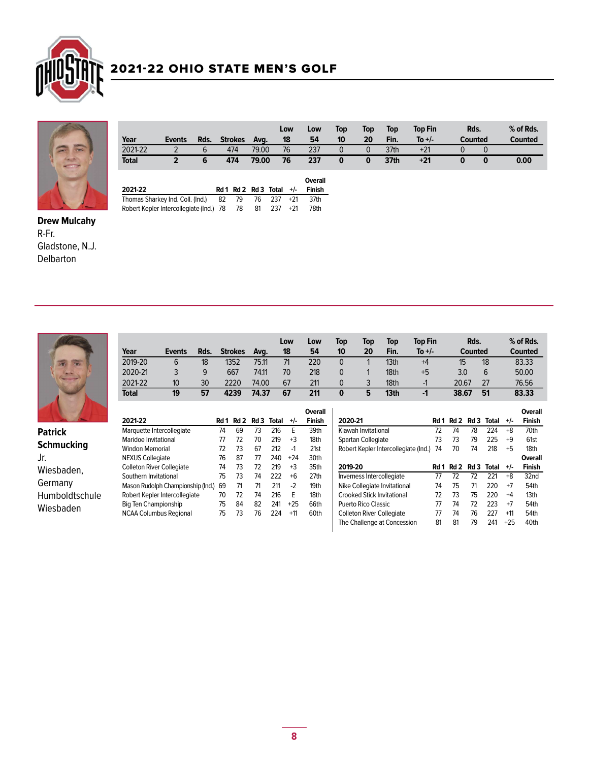



|              |               |      |                |       | Low | Low            | Top | Top | <b>Top</b> | <b>Top Fin</b> | Rds.           |   | $%$ of Rds.    |
|--------------|---------------|------|----------------|-------|-----|----------------|-----|-----|------------|----------------|----------------|---|----------------|
| Year         | <b>Events</b> | Rds. | <b>Strokes</b> | Avg.  | 18  | 54<br>10       |     | 20  | Fin.       | To $+/-$       | <b>Counted</b> |   | <b>Counted</b> |
| 2021-22      |               | b    | 474            | 79.00 | 76  | 237            | 0   |     | 37th       | $+21$          |                |   |                |
| <b>Total</b> |               | 6    | 474            | 79.00 | 76  | 237            |     | 0   | 37th       | $+21$          | 0              | 0 | 0.00           |
|              |               |      |                |       |     |                |     |     |            |                |                |   |                |
|              |               |      |                |       |     | <b>Overall</b> |     |     |            |                |                |   |                |

| 2021-22                                               |  |  | $Rd1$ $Rd2$ $Rd3$ $Total +/-$ Finish |
|-------------------------------------------------------|--|--|--------------------------------------|
| Thomas Sharkey Ind. Coll. (Ind.) $82$ 79 76 237 $+21$ |  |  | .37th                                |
| Robert Kepler Intercollegiate (Ind.) 78 78 81 237 +21 |  |  | 78th                                 |

Drew Mulcahy R-Fr. Gladstone, N.J. Delbarton



|              |               |      |                |       | Low | Low | Top      | Top | Top  | Top Fin  | Rds.    |    | % of Rds. |
|--------------|---------------|------|----------------|-------|-----|-----|----------|-----|------|----------|---------|----|-----------|
| Year         | <b>Events</b> | Rds. | <b>Strokes</b> | Ava.  | 18  | 54  | 10       | 20  | Fin. | To $+/-$ | Counted |    | Counted   |
| 2019-20      | 6             | 18   | 1352           | 75.11 | 71  | 220 | $\Omega$ |     | 13th | $+4$     | 15      | 18 | 83.33     |
| 2020-21      |               | 9    | 667            | 74.11 | 70  | 218 |          |     | 18th | +5       | 3.0     |    | 50.00     |
| 2021-22      | 10            | 30   | 2220           | 74.00 | 67  | 211 | $\Omega$ |     | 18th | - 1      | 20.67   | 27 | 76.56     |
| <b>Total</b> | 19            | 57   | 4239           | 74.37 | 67  | 211 |          | 5   | 13th | -1       | 38.67   | 51 | 83.33     |

|                   | 2021-22                           | Rd 1 | Rd 2 | Rd 3 | Total | $+/-$ | <b>Overall</b><br><b>Finish</b> | 2020-21                              | Rd 1 | Rd 2 | Rd 3 | Total | $+/-$ | <b>Overall</b><br><b>Finish</b> |
|-------------------|-----------------------------------|------|------|------|-------|-------|---------------------------------|--------------------------------------|------|------|------|-------|-------|---------------------------------|
| <b>Patrick</b>    | Marquette Intercollegiate         | 74   | 69   | 73   | 216   |       | 39th                            | Kiawah Invitational                  | 72   | 74   | 78   | 224   | $+8$  | 70th                            |
|                   | Maridoe Invitational              | 77   | 72   | 70   | 219   | $+3$  | 18th                            | Spartan Collegiate                   | 73   | 73   | 79   | 225   | +9    | 61st                            |
| <b>Schmucking</b> | <b>Windon Memorial</b>            | 72   | 73   | 67   | 212   | $-1$  | 21st                            | Robert Kepler Intercollegiate (Ind.) | 74   | 70   | 74   | 218   | $+5$  | 18th                            |
| Jr.               | <b>NEXUS Collegiate</b>           | 76   | 87   | 77   | 240   | $+24$ | 30th                            |                                      |      |      |      |       |       | <b>Overall</b>                  |
| Wiesbaden,        | <b>Colleton River Collegiate</b>  | 74   | 73   | 72   | 219   | $+3$  | 35th                            | 2019-20                              | Rd 1 | Rd 2 | Rd 3 | Total | $+/-$ | <b>Finish</b>                   |
|                   | Southern Invitational             | 75   | 73   | 74   | 222   | $+6$  | 27th                            | Inverness Intercollegiate            | 77   |      | 72   | 221   | $+8$  | 32nd                            |
| Germany           | Mason Rudolph Championship (Ind.) | 69   | 71   | 71   | 211   | $-2$  | 19th                            | Nike Collegiate Invitational         | 74   | 75   | 71   | 220   | $+7$  | 54th                            |
| Humboldtschule    | Robert Kepler Intercollegiate     | 70   | 72   | 74   | 216   | F     | 18th                            | <b>Crooked Stick Invitational</b>    | 72   | 73   | 75   | 220   | $+4$  | 13 <sub>th</sub>                |
| Wiesbaden         | Big Ten Championship              | 75   | 84   | 82   | 241   | $+25$ | 66th                            | Puerto Rico Classic                  | 77   | 74   | 72   | 223   | $+7$  | 54th                            |
|                   | <b>NCAA Columbus Regional</b>     | 75   | 73   | 76   | 224   | $+11$ | 60th                            | <b>Colleton River Collegiate</b>     | 77   | 74   | 76   | 227   | $+11$ | 54th                            |
|                   |                                   |      |      |      |       |       |                                 | The Challenge at Concession          | 81   | 81   | 79   | 241   | $+25$ | 40th                            |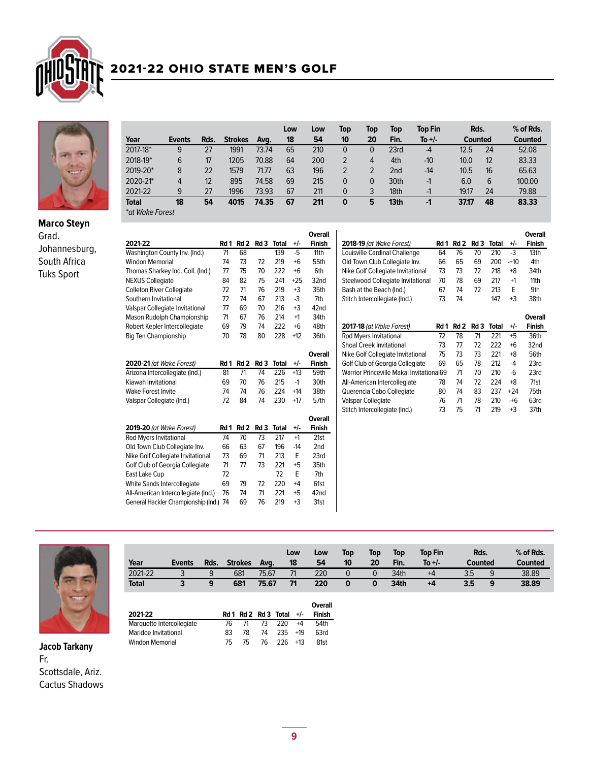



Grad.

Johannesburg, South Africa Tuks Sport

|                        |        |      |                |       | Low | Low | Top      | Top      | Top  | <b>Top Fin</b> | Rds.    |    | % of Rds.      |
|------------------------|--------|------|----------------|-------|-----|-----|----------|----------|------|----------------|---------|----|----------------|
| Year                   | Events | Rds. | <b>Strokes</b> | Ava.  | 18  | 54  | 10       | 20       | Fin. | To +/-         | Counted |    | <b>Counted</b> |
| 2017-18*               | 9      | 27   | 1991           | 73.74 | 65  | 210 | 0        | 0        | 23rd | $-4$           | 12.5    | 24 | 52.08          |
| 2018-19*               | 6      | 17   | 1205           | 70.88 | 64  | 200 |          | 4        | 4th  | $-10$          | 10.0    | 12 | 83.33          |
| 2019-20*               | 8      | 22   | 1579           | 71.77 | 63  | 196 |          |          | 2nd  | $-14$          | 10.5    | 16 | 65.63          |
| 2020-21*               | 4      | 12   | 895            | 74.58 | 69  | 215 | $\Omega$ | $\Omega$ | 30th | -1             | 6.0     | 6  | 100.00         |
| 2021-22                | 9      | 27   | 1996           | 73.93 | 67  | 211 | $\Omega$ | 3        | 18th | -1             | 19.17   | 24 | 79.88          |
| <b>Total</b>           | 18     | 54   | 4015           | 74.35 | 67  | 211 | 0        | 5        | 13th | -1             | 37.17   | 48 | 83.33          |
| <b>*at Wake Forget</b> |        |      |                |       |     |     |          |          |      |                |         |    |                |

\*at Wake Forest

|                                        |      |                  |                |              |       | Overall         |                                          |      |                 |      |              |        | <b>Overall</b> |
|----------------------------------------|------|------------------|----------------|--------------|-------|-----------------|------------------------------------------|------|-----------------|------|--------------|--------|----------------|
| 2021-22                                |      |                  | Rd 1 Rd 2 Rd 3 | <b>Total</b> | $+/-$ | <b>Finish</b>   | <b>2018-19 (at Wake Forest)</b>          | Rd 1 | Rd <sub>2</sub> | Rd 3 | <b>Total</b> | $+/-$  | <b>Finish</b>  |
| Washington County Inv. (Ind.)          | 71   | 68               |                | 139          | $-5$  | 11th            | Louisville Cardinal Challenge            | 64   | 76              | 70   | 210          | $-3$   | 13th           |
| <b>Windon Memorial</b>                 | 74   | 73               | 72             | 219          | $+6$  | 55th            | Old Town Club Collegiate Inv.            | 66   | 65              | 69   | 200          | $-+10$ | 4th            |
| Thomas Sharkey Ind. Coll. (Ind.)       | 77   | 75               | 70             | 222          | $+6$  | 6th             | Nike Golf Collegiate Invitational        | 73   | 73              | 72   | 218          | $+8$   | 34th           |
| <b>NEXUS Collegiate</b>                | 84   | 82               | 75             | 241          | $+25$ | 32nd            | Steelwood Collegiate Invitational        | 70   | 78              | 69   | 217          | $+1$   | 11th           |
| <b>Colleton River Collegiate</b>       | 72   | 71               | 76             | 219          | $+3$  | 35th            | Bash at the Beach (Ind.)                 | 67   | 74              | 72   | 213          | E      | 9th            |
| Southern Invitational                  | 72   | 74               | 67             | 213          | $-3$  | 7th             | Stitch Intercollegiate (Ind.)            | 73   | 74              |      | 147          | $+3$   | 38th           |
| Valspar Collegiate Invitational        | 77   | 69               | 70             | 216          | $+3$  | 42nd            |                                          |      |                 |      |              |        |                |
| Mason Rudolph Championship             | 71   | 67               | 76             | 214          | $+1$  | 34th            |                                          |      |                 |      |              |        | <b>Overall</b> |
| Robert Kepler Intercollegiate          | 69   | 79               | 74             | 222          | $+6$  | 48th            | 2017-18 (at Wake Forest)                 | Rd 1 | Rd 2            | Rd3  | <b>Total</b> | $+/-$  | <b>Finish</b>  |
| <b>Big Ten Championship</b>            | 70   | 78               | 80             | 228          | $+12$ | 36th            | Rod Myers Invitational                   | 72   | 78              | 71   | 221          | $+5$   | 36th           |
|                                        |      |                  |                |              |       |                 | Shoal Creek Invitational                 | 73   | 77              | 72   | 222          | $+6$   | 32nd           |
|                                        |      |                  |                |              |       | Overall         | Nike Golf Collegiate Invitational        | 75   | 73              | 73   | 221          | $+8$   | 56th           |
| 2020-21 (at Wake Forest)               |      | <b>Rd 1 Rd 2</b> | Rd 3           | <b>Total</b> | $+/-$ | <b>Finish</b>   | Golf Club of Georgia Collegiate          | 69   | 65              | 78   | 212          | $-4$   | 23rd           |
| Arizona Intercollegiate (Ind.)         | 81   | $\overline{71}$  | 74             | 226          | $+13$ | 59th            | Warrior Princeville Makai Invitational69 |      | 71              | 70   | 210          | $-6$   | 23rd           |
| Kiawah Invitational                    | 69   | 70               | 76             | 215          | $-1$  | 30th            | All-American Intercollegiate             | 78   | 74              | 72   | 224          | $+8$   | 71st           |
| <b>Wake Forest Invite</b>              | 74   | 74               | 76             | 224          | $+14$ | 38th            | Querencia Cabo Collegiate                | 80   | 74              | 83   | 237          | $+24$  | 75th           |
| Valspar Collegiate (Ind.)              | 72   | 84               | 74             | 230          | $+17$ | 57th            | Valspar Collegiate                       | 76   | 71              | 78   | 210          | $-+6$  | 63rd           |
|                                        |      |                  |                |              |       |                 | Stitch Intercollegiate (Ind.)            | 73   | 75              | 71   | 219          | $+3$   | 37th           |
|                                        |      |                  |                |              |       | Overall         |                                          |      |                 |      |              |        |                |
| <b>2019-20</b> (at Wake Forest)        | Rd 1 | Rd 2             | Rd 3           | <b>Total</b> | +/-   | <b>Finish</b>   |                                          |      |                 |      |              |        |                |
| <b>Rod Mvers Invitational</b>          | 74   | 70               | 73             | 217          | $+1$  | 21st            |                                          |      |                 |      |              |        |                |
| Old Town Club Collegiate Inv.          | 66   | 63               | 67             | 196          | $-14$ | 2 <sub>nd</sub> |                                          |      |                 |      |              |        |                |
| Nike Golf Collegiate Invitational      | 73   | 69               | 71             | 213          | E     | 23rd            |                                          |      |                 |      |              |        |                |
| Golf Club of Georgia Collegiate        | 71   | 77               | 73             | 221          | $+5$  | 35th            |                                          |      |                 |      |              |        |                |
| East Lake Cup                          | 72   |                  |                | 72           | E     | 7th             |                                          |      |                 |      |              |        |                |
| White Sands Intercollegiate            | 69   | 79               | 72             | 220          | $+4$  | 61st            |                                          |      |                 |      |              |        |                |
| All-American Intercollegiate (Ind.)    | 76   | 74               | 71             | 221          | $+5$  | 42nd            |                                          |      |                 |      |              |        |                |
| General Hackler Championship (Ind.) 74 |      | 69               | 76             | 219          | $+3$  | 31st            |                                          |      |                 |      |              |        |                |
|                                        |      |                  |                |              |       |                 |                                          |      |                 |      |              |        |                |



Jacob Tarkany Fr. Scottsdale, Ariz. Cactus Shadows

| Year         | <b>Events</b> | Rds. | Strokes | Ava.  | Low<br>18 | Low<br>54 | <b>Top</b><br>10 | <b>Top</b><br>20 | <b>Top</b><br>Fin. | Top Fin<br>To $+/-$ | Rds.<br>Counted | $%$ of Rds.<br><b>Counted</b> |
|--------------|---------------|------|---------|-------|-----------|-----------|------------------|------------------|--------------------|---------------------|-----------------|-------------------------------|
| 2021-22      |               | a    | 681     | 75.67 | 71        | 220       | $\mathbf{0}$     | $\mathbf{0}$     | 34th               | $+4$                | 3.5             | 38.89                         |
| <b>Total</b> |               |      | 681     | 75.67 | 71        | 220       | $\mathbf 0$      | $\mathbf{0}$     | 34th               | +4                  | 3.5             | 38.89                         |

|     |    |    |     |       | Overall                                            |
|-----|----|----|-----|-------|----------------------------------------------------|
|     |    |    |     |       | Finish                                             |
| 76  | 71 | 73 | 220 | $+4$  | 54th                                               |
| 83  | 78 | 74 |     | $+19$ | 63rd                                               |
| 75. | 75 |    |     |       | 81st                                               |
|     |    |    |     |       | $Rd1$ $Rd2$ $Rd3$ Total $+/-$<br>235<br>76 226 +13 |